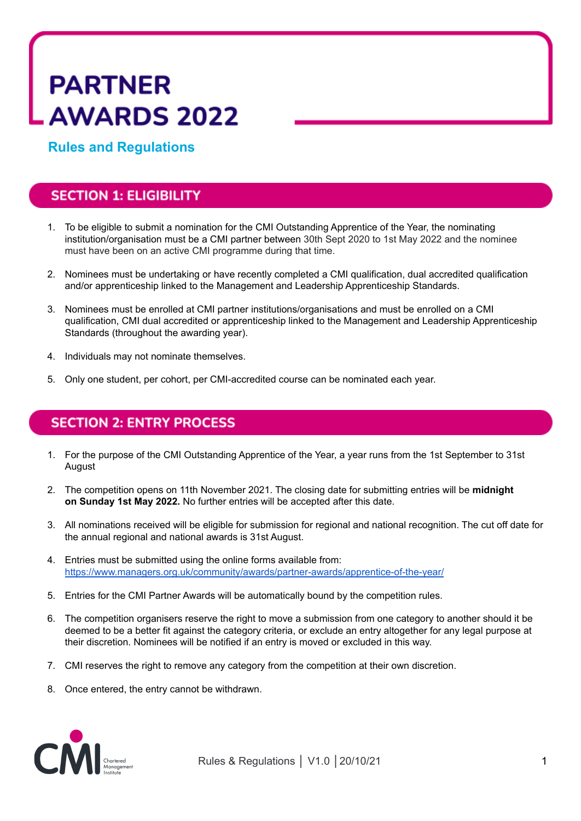# **PARTNER AWARDS 2022**

**Rules and Regulations**

# **SECTION 1: ELIGIBILITY**

- 1. To be eligible to submit a nomination for the CMI Outstanding Apprentice of the Year, the nominating institution/organisation must be a CMI partner between 30th Sept 2020 to 1st May 2022 and the nominee must have been on an active CMI programme during that time.
- 2. Nominees must be undertaking or have recently completed a CMI qualification, dual accredited qualification and/or apprenticeship linked to the Management and Leadership Apprenticeship Standards.
- 3. Nominees must be enrolled at CMI partner institutions/organisations and must be enrolled on a CMI qualification, CMI dual accredited or apprenticeship linked to the Management and Leadership Apprenticeship Standards (throughout the awarding year).
- 4. Individuals may not nominate themselves.
- 5. Only one student, per cohort, per CMI-accredited course can be nominated each year.

## **SECTION 2: ENTRY PROCESS**

- 1. For the purpose of the CMI Outstanding Apprentice of the Year, a year runs from the 1st September to 31st August
- 2. The competition opens on 11th November 2021. The closing date for submitting entries will be **midnight on Sunday 1st May 2022.** No further entries will be accepted after this date.
- 3. All nominations received will be eligible for submission for regional and national recognition. The cut off date for the annual regional and national awards is 31st August.
- 4. Entries must be submitted using the online forms available from: <https://www.managers.org.uk/community/awards/partner-awards/apprentice-of-the-year/>
- 5. Entries for the CMI Partner Awards will be automatically bound by the competition rules.
- 6. The competition organisers reserve the right to move a submission from one category to another should it be deemed to be a better fit against the category criteria, or exclude an entry altogether for any legal purpose at their discretion. Nominees will be notified if an entry is moved or excluded in this way.
- 7. CMI reserves the right to remove any category from the competition at their own discretion.
- 8. Once entered, the entry cannot be withdrawn.

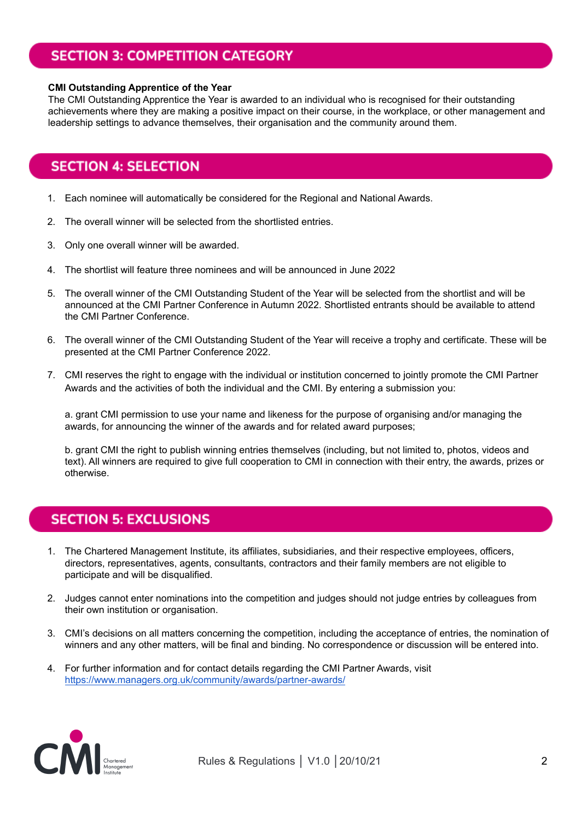# **SECTION 3: COMPETITION CATEGORY**

#### **CMI Outstanding Apprentice of the Year**

The CMI Outstanding Apprentice the Year is awarded to an individual who is recognised for their outstanding achievements where they are making a positive impact on their course, in the workplace, or other management and leadership settings to advance themselves, their organisation and the community around them.

## **SECTION 4: SELECTION**

- 1. Each nominee will automatically be considered for the Regional and National Awards.
- 2. The overall winner will be selected from the shortlisted entries.
- 3. Only one overall winner will be awarded.
- 4. The shortlist will feature three nominees and will be announced in June 2022
- 5. The overall winner of the CMI Outstanding Student of the Year will be selected from the shortlist and will be announced at the CMI Partner Conference in Autumn 2022. Shortlisted entrants should be available to attend the CMI Partner Conference.
- 6. The overall winner of the CMI Outstanding Student of the Year will receive a trophy and certificate. These will be presented at the CMI Partner Conference 2022.
- 7. CMI reserves the right to engage with the individual or institution concerned to jointly promote the CMI Partner Awards and the activities of both the individual and the CMI. By entering a submission you:

a. grant CMI permission to use your name and likeness for the purpose of organising and/or managing the awards, for announcing the winner of the awards and for related award purposes;

b. grant CMI the right to publish winning entries themselves (including, but not limited to, photos, videos and text). All winners are required to give full cooperation to CMI in connection with their entry, the awards, prizes or otherwise.

## **SECTION 5: EXCLUSIONS**

- 1. The Chartered Management Institute, its affiliates, subsidiaries, and their respective employees, officers, directors, representatives, agents, consultants, contractors and their family members are not eligible to participate and will be disqualified.
- 2. Judges cannot enter nominations into the competition and judges should not judge entries by colleagues from their own institution or organisation.
- 3. CMI's decisions on all matters concerning the competition, including the acceptance of entries, the nomination of winners and any other matters, will be final and binding. No correspondence or discussion will be entered into.
- 4. For further information and for contact details regarding the CMI Partner Awards, visit <https://www.managers.org.uk/community/awards/partner-awards/>